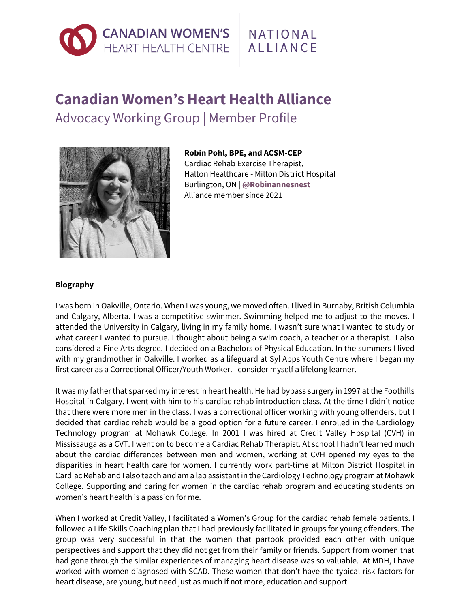

## **Canadian Women's Heart Health Alliance** Advocacy Working Group | Member Profile



**Robin Pohl, BPE, and ACSM-CEP**

Cardiac Rehab Exercise Therapist, Halton Healthcare - Milton District Hospital Burlington, ON | **[@Robinannesnest](https://twitter.com/robinannesnest)** Alliance member since 2021

## **Biography**

I was born in Oakville, Ontario. When I was young, we moved often. I lived in Burnaby, British Columbia and Calgary, Alberta. I was a competitive swimmer. Swimming helped me to adjust to the moves. I attended the University in Calgary, living in my family home. I wasn't sure what I wanted to study or what career I wanted to pursue. I thought about being a swim coach, a teacher or a therapist. I also considered a Fine Arts degree. I decided on a Bachelors of Physical Education. In the summers I lived with my grandmother in Oakville. I worked as a lifeguard at Syl Apps Youth Centre where I began my first career as a Correctional Officer/Youth Worker. I consider myself a lifelong learner.

It was my father that sparked my interest in heart health. He had bypass surgery in 1997 at the Foothills Hospital in Calgary. I went with him to his cardiac rehab introduction class. At the time I didn't notice that there were more men in the class. I was a correctional officer working with young offenders, but I decided that cardiac rehab would be a good option for a future career. I enrolled in the Cardiology Technology program at Mohawk College. In 2001 I was hired at Credit Valley Hospital (CVH) in Mississauga as a CVT. I went on to become a Cardiac Rehab Therapist. At school I hadn't learned much about the cardiac differences between men and women, working at CVH opened my eyes to the disparities in heart health care for women. I currently work part-time at Milton District Hospital in Cardiac Rehab and I also teach and am a lab assistantin the Cardiology Technology program at Mohawk College. Supporting and caring for women in the cardiac rehab program and educating students on women's heart health is a passion for me.

When I worked at Credit Valley, I facilitated a Women's Group for the cardiac rehab female patients. I followed a Life Skills Coaching plan that I had previously facilitated in groups for young offenders. The group was very successful in that the women that partook provided each other with unique perspectives and support that they did not get from their family or friends. Support from women that had gone through the similar experiences of managing heart disease was so valuable. At MDH, I have worked with women diagnosed with SCAD. These women that don't have the typical risk factors for heart disease, are young, but need just as much if not more, education and support.